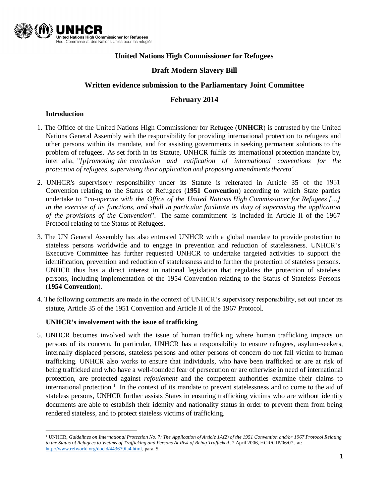

## **United Nations High Commissioner for Refugees**

## **Draft Modern Slavery Bill**

#### **Written evidence submission to the Parliamentary Joint Committee**

#### **February 2014**

#### **Introduction**

- 1. The Office of the United Nations High Commissioner for Refugee (**UNHCR**) is entrusted by the United Nations General Assembly with the responsibility for providing international protection to refugees and other persons within its mandate, and for assisting governments in seeking permanent solutions to the problem of refugees. As set forth in its Statute, UNHCR fulfils its international protection mandate by, inter alia, "*[p]romoting the conclusion and ratification of international conventions for the protection of refugees, supervising their application and proposing amendments thereto*".
- 2. UNHCR's supervisory responsibility under its Statute is reiterated in Article 35 of the 1951 Convention relating to the Status of Refugees (**1951 Convention**) according to which State parties undertake to "*co-operate with the Office of the United Nations High Commissioner for Refugees […] in the exercise of its functions, and shall in particular facilitate its duty of supervising the application of the provisions of the Convention*". The same commitment is included in Article II of the 1967 Protocol relating to the Status of Refugees.
- 3. The UN General Assembly has also entrusted UNHCR with a global mandate to provide protection to stateless persons worldwide and to engage in prevention and reduction of statelessness. UNHCR's Executive Committee has further requested UNHCR to undertake targeted activities to support the identification, prevention and reduction of statelessness and to further the protection of stateless persons. UNHCR thus has a direct interest in national legislation that regulates the protection of stateless persons, including implementation of the 1954 Convention relating to the Status of Stateless Persons (**1954 Convention**).
- 4. The following comments are made in the context of UNHCR's supervisory responsibility, set out under its statute, Article 35 of the 1951 Convention and Article II of the 1967 Protocol.

#### **UNHCR's involvement with the issue of trafficking**

5. UNHCR becomes involved with the issue of human trafficking where human trafficking impacts on persons of its concern. In particular, UNHCR has a responsibility to ensure refugees, asylum-seekers, internally displaced persons, stateless persons and other persons of concern do not fall victim to human trafficking. UNHCR also works to ensure that individuals, who have been trafficked or are at risk of being trafficked and who have a well-founded fear of persecution or are otherwise in need of international protection, are protected against *refoulement* and the competent authorities examine their claims to international protection.<sup>1</sup> In the context of its mandate to prevent statelessness and to come to the aid of stateless persons, UNHCR further assists States in ensuring trafficking victims who are without identity documents are able to establish their identity and nationality status in order to prevent them from being rendered stateless, and to protect stateless victims of trafficking.

 $\overline{a}$ <sup>1</sup> UNHCR, *Guidelines on International Protection No. 7: The Application of Article 1A(2) of the 1951 Convention and/or 1967 Protocol Relating to the Status of Refugees to Victims of Trafficking and Persons At Risk of Being Trafficked*, 7 April 2006, HCR/GIP/06/07, at: [http://www.refworld.org/docid/443679fa4.html,](http://www.refworld.org/docid/443679fa4.html) para. 5.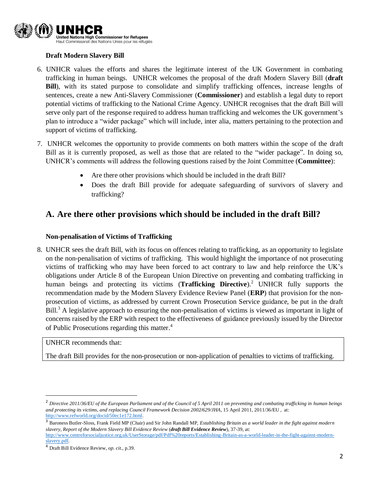

## **Draft Modern Slavery Bill**

- 6. UNHCR values the efforts and shares the legitimate interest of the UK Government in combating trafficking in human beings. UNHCR welcomes the proposal of the draft Modern Slavery Bill (**draft Bill**), with its stated purpose to consolidate and simplify trafficking offences, increase lengths of sentences, create a new Anti-Slavery Commissioner (**Commissioner**) and establish a legal duty to report potential victims of trafficking to the National Crime Agency. UNHCR recognises that the draft Bill will serve only part of the response required to address human trafficking and welcomes the UK government's plan to introduce a "wider package" which will include, inter alia, matters pertaining to the protection and support of victims of trafficking.
- 7. UNHCR welcomes the opportunity to provide comments on both matters within the scope of the draft Bill as it is currently proposed, as well as those that are related to the "wider package". In doing so, UNHCR's comments will address the following questions raised by the Joint Committee (**Committee**):
	- Are there other provisions which should be included in the draft Bill?
	- Does the draft Bill provide for adequate safeguarding of survivors of slavery and trafficking?

## **A. Are there other provisions which should be included in the draft Bill?**

#### **Non-penalisation of Victims of Trafficking**

8. UNHCR sees the draft Bill, with its focus on offences relating to trafficking, as an opportunity to legislate on the non-penalisation of victims of trafficking. This would highlight the importance of not prosecuting victims of trafficking who may have been forced to act contrary to law and help reinforce the UK's obligations under Article 8 of the European Union Directive on preventing and combating trafficking in human beings and protecting its victims (**Trafficking Directive**). <sup>2</sup> UNHCR fully supports the recommendation made by the Modern Slavery Evidence Review Panel (**ERP**) that provision for the nonprosecution of victims, as addressed by current Crown Prosecution Service guidance, be put in the draft Bill.<sup>3</sup> A legislative approach to ensuring the non-penalisation of victims is viewed as important in light of concerns raised by the ERP with respect to the effectiveness of guidance previously issued by the Director of Public Prosecutions regarding this matter. 4

UNHCR recommends that:

 $\overline{a}$ 

The draft Bill provides for the non-prosecution or non-application of penalties to victims of trafficking.

<sup>&</sup>lt;sup>2</sup> Directive 2011/36/EU of the European Parliament and of the Council of 5 April 2011 on preventing and combating trafficking in *human beings and protecting its victims, and replacing Council Framework Decision 2002/629/JHA*, 15 April 2011, 2011/36/EU , at: [http://www.refworld.org/docid/50ec1e172.html.](http://www.refworld.org/docid/50ec1e172.html)

<sup>3</sup> Baroness Butler-Sloss, Frank Field MP (Chair) and Sir John Randall MP, *Establishing Britain as a world leader in the fight against modern slavery, Report of the Modern Slavery Bill Evidence Review* (*draft Bill Evidence Review*), 37-39, at: [http://www.centreforsocialjustice.org.uk/UserStorage/pdf/Pdf%20reports/Establishing-Britain-as-a-world-leader-in-the-fight-against-modern](http://www.centreforsocialjustice.org.uk/UserStorage/pdf/Pdf%20reports/Establishing-Britain-as-a-world-leader-in-the-fight-against-modern-slavery.pdf)[slavery.pdf.](http://www.centreforsocialjustice.org.uk/UserStorage/pdf/Pdf%20reports/Establishing-Britain-as-a-world-leader-in-the-fight-against-modern-slavery.pdf) 

<sup>4</sup> Draft Bill Evidence Review, *op. cit.,* p.39.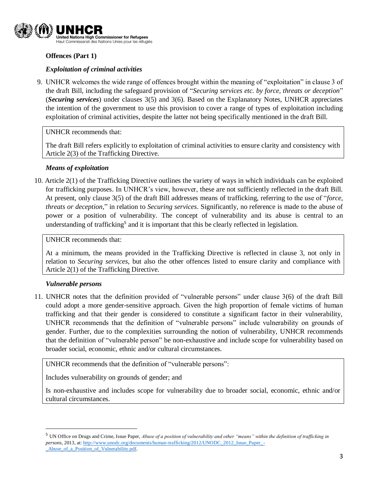

#### **Offences (Part 1)**

#### *Exploitation of criminal activities*

9. UNHCR welcomes the wide range of offences brought within the meaning of "exploitation" in clause 3 of the draft Bill, including the safeguard provision of "*Securing services etc. by force, threats or deception*" (*Securing services*) under clauses 3(5) and 3(6). Based on the Explanatory Notes, UNHCR appreciates the intention of the government to use this provision to cover a range of types of exploitation including exploitation of criminal activities, despite the latter not being specifically mentioned in the draft Bill.

UNHCR recommends that:

The draft Bill refers explicitly to exploitation of criminal activities to ensure clarity and consistency with Article 2(3) of the Trafficking Directive.

#### *Means of exploitation*

10. Article 2(1) of the Trafficking Directive outlines the variety of ways in which individuals can be exploited for trafficking purposes. In UNHCR's view, however, these are not sufficiently reflected in the draft Bill. At present, only clause 3(5) of the draft Bill addresses means of trafficking, referring to the use of "*force, threats or deception*," in relation to *Securing services*. Significantly, no reference is made to the abuse of power or a position of vulnerability. The concept of vulnerability and its abuse is central to an understanding of trafficking<sup>5</sup> and it is important that this be clearly reflected in legislation.

UNHCR recommends that:

At a minimum, the means provided in the Trafficking Directive is reflected in clause 3, not only in relation to *Securing services*, but also the other offences listed to ensure clarity and compliance with Article 2(1) of the Trafficking Directive.

#### *Vulnerable persons*

 $\overline{\phantom{a}}$ 

11. UNHCR notes that the definition provided of "vulnerable persons" under clause 3(6) of the draft Bill could adopt a more gender-sensitive approach. Given the high proportion of female victims of human trafficking and that their gender is considered to constitute a significant factor in their vulnerability, UNHCR recommends that the definition of "vulnerable persons" include vulnerability on grounds of gender. Further, due to the complexities surrounding the notion of vulnerability, UNHCR recommends that the definition of "vulnerable person" be non-exhaustive and include scope for vulnerability based on broader social, economic, ethnic and/or cultural circumstances.

UNHCR recommends that the definition of "vulnerable persons":

Includes vulnerability on grounds of gender; and

Is non-exhaustive and includes scope for vulnerability due to broader social, economic, ethnic and/or cultural circumstances.

<sup>5</sup> UN Office on Drugs and Crime, Issue Paper, *Abuse of a position of vulnerability and other "means" within the definition of trafficking in persons*, 2013, at: [http://www.unodc.org/documents/human-trafficking/2012/UNODC\\_2012\\_Issue\\_Paper\\_-](http://www.unodc.org/documents/human-trafficking/2012/UNODC_2012_Issue_Paper_-_Abuse_of_a_Position_of_Vulnerability.pdf) [\\_Abuse\\_of\\_a\\_Position\\_of\\_Vulnerability.pdf.](http://www.unodc.org/documents/human-trafficking/2012/UNODC_2012_Issue_Paper_-_Abuse_of_a_Position_of_Vulnerability.pdf)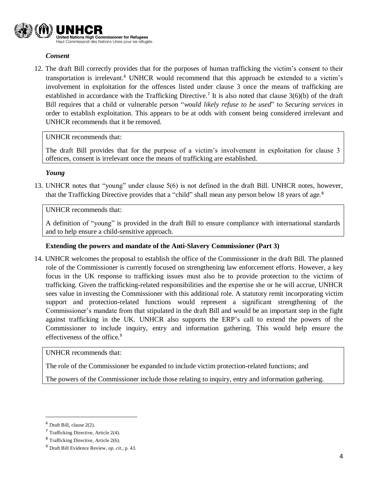

#### *Consent*

12. The draft Bill correctly provides that for the purposes of human trafficking the victim's consent to their transportation is irrelevant. <sup>6</sup> UNHCR would recommend that this approach be extended to a victim's involvement in exploitation for the offences listed under clause 3 once the means of trafficking are established in accordance with the Trafficking Directive.<sup>7</sup> It is also noted that clause 3(6)(b) of the draft Bill requires that a child or vulnerable person "*would likely refuse to be used*" to *Securing services* in order to establish exploitation. This appears to be at odds with consent being considered irrelevant and UNHCR recommends that it be removed.

#### UNHCR recommends that:

The draft Bill provides that for the purpose of a victim's involvement in exploitation for clause 3 offences, consent is irrelevant once the means of trafficking are established.

#### *Young*

13. UNHCR notes that "young" under clause 5(6) is not defined in the draft Bill. UNHCR notes, however, that the Trafficking Directive provides that a "child" shall mean any person below 18 years of age.<sup>8</sup>

## UNHCR recommends that:

A definition of "young" is provided in the draft Bill to ensure compliance with international standards and to help ensure a child-sensitive approach.

#### **Extending the powers and mandate of the Anti-Slavery Commissioner (Part 3)**

14. UNHCR welcomes the proposal to establish the office of the Commissioner in the draft Bill. The planned role of the Commissioner is currently focused on strengthening law enforcement efforts. However, a key focus in the UK response to trafficking issues must also be to provide protection to the victims of trafficking. Given the trafficking-related responsibilities and the expertise she or he will accrue, UNHCR sees value in investing the Commissioner with this additional role. A statutory remit incorporating victim support and protection-related functions would represent a significant strengthening of the Commissioner's mandate from that stipulated in the draft Bill and would be an important step in the fight against trafficking in the UK. UNHCR also supports the ERP's call to extend the powers of the Commissioner to include inquiry, entry and information gathering. This would help ensure the effectiveness of the office.<sup>9</sup>

UNHCR recommends that:

The role of the Commissioner be expanded to include victim protection-related functions; and

The powers of the Commissioner include those relating to inquiry, entry and information gathering.

 $\overline{a}$ 

 $6$  Draft Bill, clause 2(2).

<sup>7</sup> Trafficking Directive, Article 2(4).

<sup>8</sup> Trafficking Directive, Article 2(6).

<sup>9</sup> Draft Bill Evidence Review, *op. cit.,* p. 43.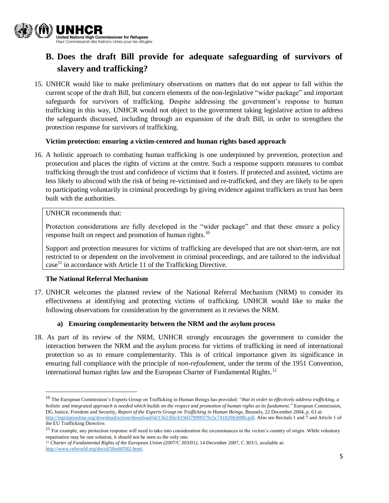

# **B. Does the draft Bill provide for adequate safeguarding of survivors of slavery and trafficking?**

15. UNHCR would like to make preliminary observations on matters that do not appear to fall within the current scope of the draft Bill, but concern elements of the non-legislative "wider package" and important safeguards for survivors of trafficking. Despite addressing the government's response to human trafficking in this way, UNHCR would not object to the government taking legislative action to address the safeguards discussed, including through an expansion of the draft Bill, in order to strengthen the protection response for survivors of trafficking.

#### **Victim protection: ensuring a victim-centered and human rights based approach**

16. A holistic approach to combating human trafficking is one underpinned by prevention, protection and prosecution and places the rights of victims at the centre. Such a response supports measures to combat trafficking through the trust and confidence of victims that it fosters. If protected and assisted, victims are less likely to abscond with the risk of being re-victimised and re-trafficked, and they are likely to be open to participating voluntarily in criminal proceedings by giving evidence against traffickers as trust has been built with the authorities.

#### UNHCR recommends that:

Protection considerations are fully developed in the "wider package" and that these ensure a policy response built on respect and promotion of human rights.<sup>10</sup>

Support and protection measures for victims of trafficking are developed that are not short-term, are not restricted to or dependent on the involvement in criminal proceedings, and are tailored to the individual  $case<sup>11</sup>$  in accordance with Article 11 of the Trafficking Directive.

#### **The National Referral Mechanism**

 $\overline{a}$ 

17. UNHCR welcomes the planned review of the National Referral Mechanism (NRM) to consider its effectiveness at identifying and protecting victims of trafficking. UNHCR would like to make the following observations for consideration by the government as it reviews the NRM.

#### **a) Ensuring complementarity between the NRM and the asylum process**

18. As part of its review of the NRM, UNHCR strongly encourages the government to consider the interaction between the NRM and the asylum process for victims of trafficking in need of international protection so as to ensure complementarity. This is of critical importance given its significance in ensuring full compliance with the principle of *non-refoulement*, under the terms of the 1951 Convention, international human rights law and the European Charter of Fundamental Rights.<sup>12</sup>

<sup>12</sup> *Charter of Fundamental Rights of the European Union (2007/C 303/01)*, 14 December 2007, C 303/1, available at: [http://www.refworld.org/docid/50ed4f582.html.](http://www.refworld.org/docid/50ed4f582.html)

<sup>10</sup> The European Commission's Experts Group on Trafficking in Human Beings has provided: "*that in order to effectively address trafficking, a holistic and integrated approach is needed which builds on the respect and promotion of human rights as its fundament*." European Commission, DG Justice, Freedom and Security, *Report of the Experts Group on Trafficking in Human Beings*, Brussels, 22 December 2004, p. 63 at: [http://legislationline.org/download/action/download/id/1562/file/b19d37999f379c5c741029fcb086.pdf.](http://legislationline.org/download/action/download/id/1562/file/b19d37999f379c5c741029fcb086.pdf) Also see Recitals 1 and 7 and Article 1 of the EU Trafficking Directive.

<sup>&</sup>lt;sup>11</sup> For example, any protection response will need to take into consideration the circumstances in the victim's country of origin. While voluntary repatriation may be one solution, it should not be seen as the only one.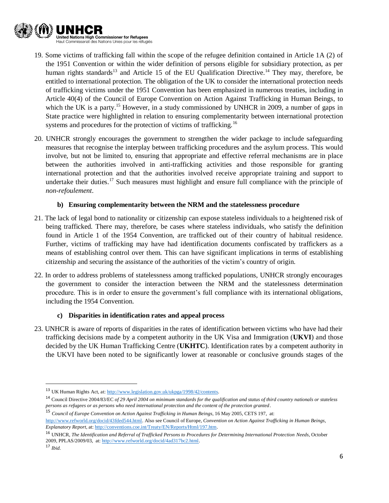

- 19. Some victims of trafficking fall within the scope of the refugee definition contained in Article 1A (2) of the 1951 Convention or within the wider definition of persons eligible for subsidiary protection, as per human rights standards<sup>13</sup> and Article 15 of the EU Qualification Directive.<sup>14</sup> They may, therefore, be entitled to international protection. The obligation of the UK to consider the international protection needs of trafficking victims under the 1951 Convention has been emphasized in numerous treaties, including in Article 40(4) of the Council of Europe Convention on Action Against Trafficking in Human Beings, to which the UK is a party.<sup>15</sup> However, in a study commissioned by UNHCR in 2009, a number of gaps in State practice were highlighted in relation to ensuring complementarity between international protection systems and procedures for the protection of victims of trafficking.<sup>16</sup>
- 20. UNHCR strongly encourages the government to strengthen the wider package to include safeguarding measures that recognise the interplay between trafficking procedures and the asylum process. This would involve, but not be limited to, ensuring that appropriate and effective referral mechanisms are in place between the authorities involved in anti-trafficking activities and those responsible for granting international protection and that the authorities involved receive appropriate training and support to undertake their duties.<sup>17</sup> Such measures must highlight and ensure full compliance with the principle of *non-refoulement*.

#### **b) Ensuring complementarity between the NRM and the statelessness procedure**

- 21. The lack of legal bond to nationality or citizenship can expose stateless individuals to a heightened risk of being trafficked. There may, therefore, be cases where stateless individuals, who satisfy the definition found in Article 1 of the 1954 Convention, are trafficked out of their country of habitual residence. Further, victims of trafficking may have had identification documents confiscated by traffickers as a means of establishing control over them. This can have significant implications in terms of establishing citizenship and securing the assistance of the authorities of the victim's country of origin.
- 22. In order to address problems of statelessness among trafficked populations, UNHCR strongly encourages the government to consider the interaction between the NRM and the statelessness determination procedure. This is in order to ensure the government's full compliance with its international obligations, including the 1954 Convention.

#### **c) Disparities in identification rates and appeal process**

23. UNHCR is aware of reports of disparities in the rates of identification between victims who have had their trafficking decisions made by a competent authority in the UK Visa and Immigration (**UKVI**) and those decided by the UK Human Trafficking Centre (**UKHTC**). Identification rates by a competent authority in the UKVI have been noted to be significantly lower at reasonable or conclusive grounds stages of the

 $\overline{\phantom{a}}$ 

<sup>13</sup> UK Human Rights Act, at[: http://www.legislation.gov.uk/ukpga/1998/42/contents.](http://www.legislation.gov.uk/ukpga/1998/42/contents)

<sup>14</sup> Council Directive 2004/83/EC *of 29 April 2004 on minimum standards for the qualification and status of third country nationals or stateless persons as refugees or as persons who need international protection and the content of the protection granted*.

<sup>15</sup> *Council of Europe Convention on Action Against Trafficking in Human Beings*, 16 May 2005, CETS 197, at: [http://www.refworld.org/docid/43fded544.html.](http://www.refworld.org/docid/43fded544.html) Also see Council of Europe, *Convention on Action Against Trafficking in Human Beings, Explanatory Report*, at[: http://conventions.coe.int/Treaty/EN/Reports/Html/197.htm.](http://conventions.coe.int/Treaty/EN/Reports/Html/197.htm)

<sup>16</sup> UNHCR, *The Identification and Referral of Trafficked Persons to Procedures for Determining International Protection Needs*, October 2009, PPLAS/2009/03, at[: http://www.refworld.org/docid/4ad317bc2.html.](http://www.refworld.org/docid/4ad317bc2.html)